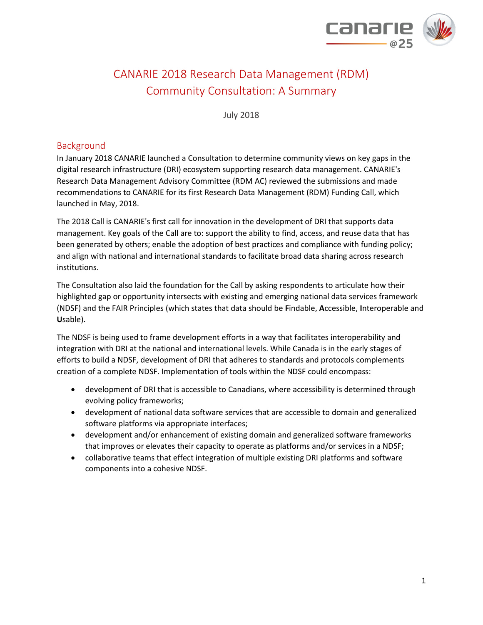

# CANARIE 2018 Research Data Management (RDM) Community Consultation: A Summary

July 2018

# Background

In January 2018 CANARIE launched a Consultation to determine community views on key gaps in the digital research infrastructure (DRI) ecosystem supporting research data management. CANARIE's Research Data Management Advisory Committee (RDM AC) reviewed the submissions and made recommendations to CANARIE for its first Research Data Management (RDM) Funding Call, which launched in May, 2018.

The 2018 Call is CANARIE's first call for innovation in the development of DRI that supports data management. Key goals of the Call are to: support the ability to find, access, and reuse data that has been generated by others; enable the adoption of best practices and compliance with funding policy; and align with national and international standards to facilitate broad data sharing across research institutions.

The Consultation also laid the foundation for the Call by asking respondents to articulate how their highlighted gap or opportunity intersects with existing and emerging national data services framework (NDSF) and the FAIR Principles (which states that data should be **F**indable, **A**ccessible, **I**nteroperable and **U**sable).

The NDSF is being used to frame development efforts in a way that facilitates interoperability and integration with DRI at the national and international levels. While Canada is in the early stages of efforts to build a NDSF, development of DRI that adheres to standards and protocols complements creation of a complete NDSF. Implementation of tools within the NDSF could encompass:

- development of DRI that is accessible to Canadians, where accessibility is determined through evolving policy frameworks;
- development of national data software services that are accessible to domain and generalized software platforms via appropriate interfaces;
- development and/or enhancement of existing domain and generalized software frameworks that improves or elevates their capacity to operate as platforms and/or services in a NDSF;
- collaborative teams that effect integration of multiple existing DRI platforms and software components into a cohesive NDSF.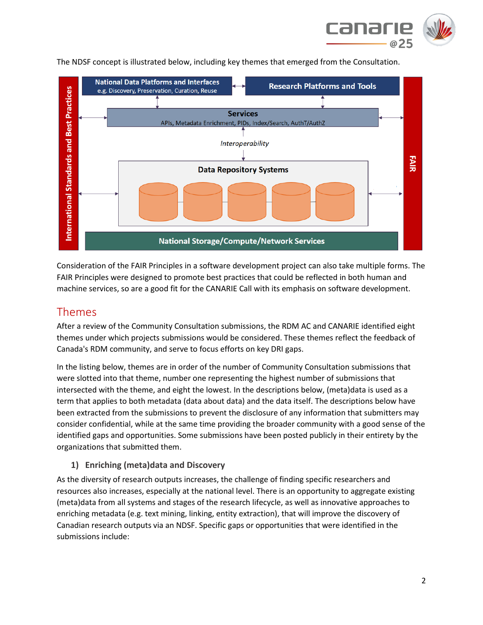



The NDSF concept is illustrated below, including key themes that emerged from the Consultation.

Consideration of the FAIR Principles in a software development project can also take multiple forms. The FAIR Principles were designed to promote best practices that could be reflected in both human and machine services, so are a good fit for the CANARIE Call with its emphasis on software development.

# Themes

After a review of the Community Consultation submissions, the RDM AC and CANARIE identified eight themes under which projects submissions would be considered. These themes reflect the feedback of Canada's RDM community, and serve to focus efforts on key DRI gaps.

In the listing below, themes are in order of the number of Community Consultation submissions that were slotted into that theme, number one representing the highest number of submissions that intersected with the theme, and eight the lowest. In the descriptions below, (meta)data is used as a term that applies to both metadata (data about data) and the data itself. The descriptions below have been extracted from the submissions to prevent the disclosure of any information that submitters may consider confidential, while at the same time providing the broader community with a good sense of the identified gaps and opportunities. Some submissions have been posted publicly in their entirety by the organizations that submitted them.

# **1) Enriching (meta)data and Discovery**

As the diversity of research outputs increases, the challenge of finding specific researchers and resources also increases, especially at the national level. There is an opportunity to aggregate existing (meta)data from all systems and stages of the research lifecycle, as well as innovative approaches to enriching metadata (e.g. text mining, linking, entity extraction), that will improve the discovery of Canadian research outputs via an NDSF. Specific gaps or opportunities that were identified in the submissions include: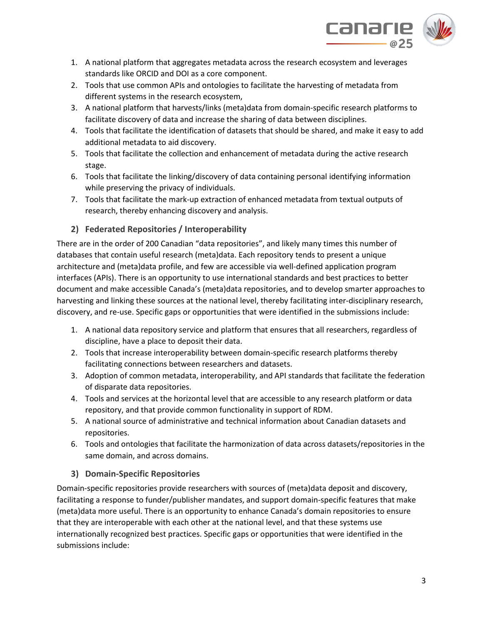

- 1. A national platform that aggregates metadata across the research ecosystem and leverages standards like ORCID and DOI as a core component.
- 2. Tools that use common APIs and ontologies to facilitate the harvesting of metadata from different systems in the research ecosystem,
- 3. A national platform that harvests/links (meta)data from domain-specific research platforms to facilitate discovery of data and increase the sharing of data between disciplines.
- 4. Tools that facilitate the identification of datasets that should be shared, and make it easy to add additional metadata to aid discovery.
- 5. Tools that facilitate the collection and enhancement of metadata during the active research stage.
- 6. Tools that facilitate the linking/discovery of data containing personal identifying information while preserving the privacy of individuals.
- 7. Tools that facilitate the mark-up extraction of enhanced metadata from textual outputs of research, thereby enhancing discovery and analysis.

# **2) Federated Repositories / Interoperability**

There are in the order of 200 Canadian "data repositories", and likely many times this number of databases that contain useful research (meta)data. Each repository tends to present a unique architecture and (meta)data profile, and few are accessible via well-defined application program interfaces (APIs). There is an opportunity to use international standards and best practices to better document and make accessible Canada's (meta)data repositories, and to develop smarter approaches to harvesting and linking these sources at the national level, thereby facilitating inter-disciplinary research, discovery, and re-use. Specific gaps or opportunities that were identified in the submissions include:

- 1. A national data repository service and platform that ensures that all researchers, regardless of discipline, have a place to deposit their data.
- 2. Tools that increase interoperability between domain-specific research platforms thereby facilitating connections between researchers and datasets.
- 3. Adoption of common metadata, interoperability, and API standards that facilitate the federation of disparate data repositories.
- 4. Tools and services at the horizontal level that are accessible to any research platform or data repository, and that provide common functionality in support of RDM.
- 5. A national source of administrative and technical information about Canadian datasets and repositories.
- 6. Tools and ontologies that facilitate the harmonization of data across datasets/repositories in the same domain, and across domains.

# **3) Domain-Specific Repositories**

Domain-specific repositories provide researchers with sources of (meta)data deposit and discovery, facilitating a response to funder/publisher mandates, and support domain-specific features that make (meta)data more useful. There is an opportunity to enhance Canada's domain repositories to ensure that they are interoperable with each other at the national level, and that these systems use internationally recognized best practices. Specific gaps or opportunities that were identified in the submissions include: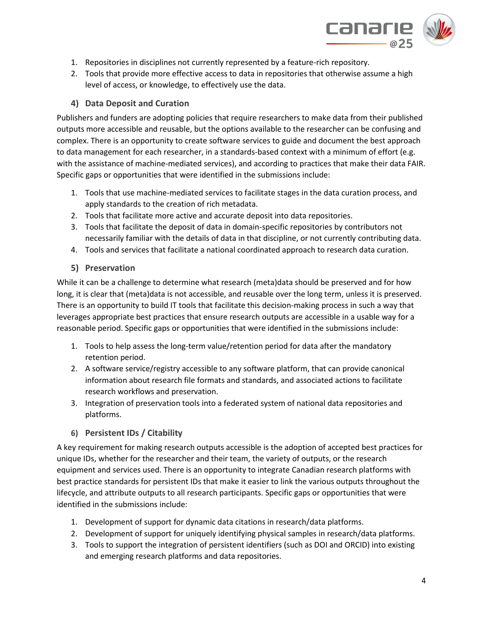

- 1. Repositories in disciplines not currently represented by a feature-rich repository.
- 2. Tools that provide more effective access to data in repositories that otherwise assume a high level of access, or knowledge, to effectively use the data.

#### **4) Data Deposit and Curation**

Publishers and funders are adopting policies that require researchers to make data from their published outputs more accessible and reusable, but the options available to the researcher can be confusing and complex. There is an opportunity to create software services to guide and document the best approach to data management for each researcher, in a standards-based context with a minimum of effort (e.g. with the assistance of machine-mediated services), and according to practices that make their data FAIR. Specific gaps or opportunities that were identified in the submissions include:

- 1. Tools that use machine-mediated services to facilitate stages in the data curation process, and apply standards to the creation of rich metadata.
- 2. Tools that facilitate more active and accurate deposit into data repositories.
- 3. Tools that facilitate the deposit of data in domain-specific repositories by contributors not necessarily familiar with the details of data in that discipline, or not currently contributing data.
- 4. Tools and services that facilitate a national coordinated approach to research data curation.

#### **5) Preservation**

While it can be a challenge to determine what research (meta)data should be preserved and for how long, it is clear that (meta)data is not accessible, and reusable over the long term, unless it is preserved. There is an opportunity to build IT tools that facilitate this decision-making process in such a way that leverages appropriate best practices that ensure research outputs are accessible in a usable way for a reasonable period. Specific gaps or opportunities that were identified in the submissions include:

- 1. Tools to help assess the long-term value/retention period for data after the mandatory retention period.
- 2. A software service/registry accessible to any software platform, that can provide canonical information about research file formats and standards, and associated actions to facilitate research workflows and preservation.
- 3. Integration of preservation tools into a federated system of national data repositories and platforms.
- **6) Persistent IDs / Citability**

A key requirement for making research outputs accessible is the adoption of accepted best practices for unique IDs, whether for the researcher and their team, the variety of outputs, or the research equipment and services used. There is an opportunity to integrate Canadian research platforms with best practice standards for persistent IDs that make it easier to link the various outputs throughout the lifecycle, and attribute outputs to all research participants. Specific gaps or opportunities that were identified in the submissions include:

- 1. Development of support for dynamic data citations in research/data platforms.
- 2. Development of support for uniquely identifying physical samples in research/data platforms.
- 3. Tools to support the integration of persistent identifiers (such as DOI and ORCID) into existing and emerging research platforms and data repositories.